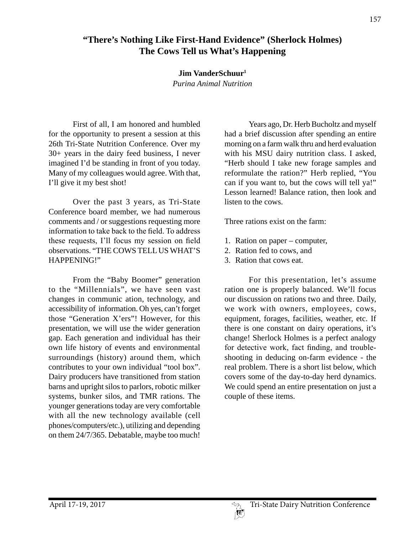# **"There's Nothing Like First-Hand Evidence" (Sherlock Holmes) The Cows Tell us What's Happening**

#### **Jim VanderSchuur1**

*Purina Animal Nutrition*

First of all, I am honored and humbled for the opportunity to present a session at this 26th Tri-State Nutrition Conference. Over my 30+ years in the dairy feed business, I never imagined I'd be standing in front of you today. Many of my colleagues would agree. With that, I'll give it my best shot!

Over the past 3 years, as Tri-State Conference board member, we had numerous comments and / or suggestions requesting more information to take back to the field. To address these requests, I'll focus my session on field observations. "THE COWS TELL US WHAT'S HAPPENING!"

From the "Baby Boomer" generation to the "Millennials", we have seen vast changes in communic ation, technology, and accessibility of information. Oh yes, can't forget those "Generation X'ers"! However, for this presentation, we will use the wider generation gap. Each generation and individual has their own life history of events and environmental surroundings (history) around them, which contributes to your own individual "tool box". Dairy producers have transitioned from station barns and upright silos to parlors, robotic milker systems, bunker silos, and TMR rations. The younger generations today are very comfortable with all the new technology available (cell phones/computers/etc.), utilizing and depending on them 24/7/365. Debatable, maybe too much!

Years ago, Dr. Herb Bucholtz and myself had a brief discussion after spending an entire morning on a farm walk thru and herd evaluation with his MSU dairy nutrition class. I asked, "Herb should I take new forage samples and reformulate the ration?" Herb replied, "You can if you want to, but the cows will tell ya!" Lesson learned! Balance ration, then look and listen to the cows.

Three rations exist on the farm:

- 1. Ration on paper computer,
- 2. Ration fed to cows, and
- 3. Ration that cows eat.

For this presentation, let's assume ration one is properly balanced. We'll focus our discussion on rations two and three. Daily, we work with owners, employees, cows, equipment, forages, facilities, weather, etc. If there is one constant on dairy operations, it's change! Sherlock Holmes is a perfect analogy for detective work, fact finding, and troubleshooting in deducing on-farm evidence - the real problem. There is a short list below, which covers some of the day-to-day herd dynamics. We could spend an entire presentation on just a couple of these items.

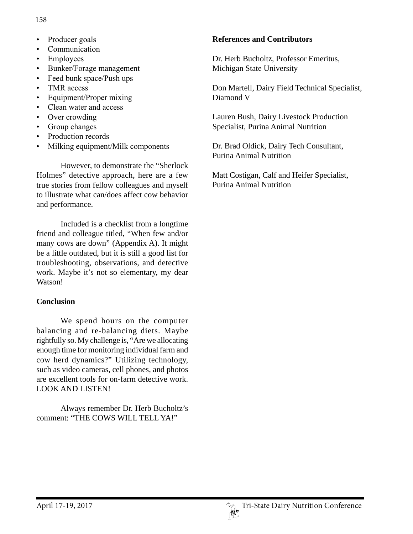- Producer goals
- Communication
- Employees
- Bunker/Forage management
- Feed bunk space/Push ups
- TMR access
- Equipment/Proper mixing
- Clean water and access
- Over crowding
- Group changes
- Production records
- Milking equipment/Milk components

However, to demonstrate the "Sherlock Holmes" detective approach, here are a few true stories from fellow colleagues and myself to illustrate what can/does affect cow behavior and performance.

Included is a checklist from a longtime friend and colleague titled, "When few and/or many cows are down" (Appendix A). It might be a little outdated, but it is still a good list for troubleshooting, observations, and detective work. Maybe it's not so elementary, my dear Watson!

# **Conclusion**

We spend hours on the computer balancing and re-balancing diets. Maybe rightfully so. My challenge is, "Are we allocating enough time for monitoring individual farm and cow herd dynamics?" Utilizing technology, such as video cameras, cell phones, and photos are excellent tools for on-farm detective work. LOOK AND LISTEN!

Always remember Dr. Herb Bucholtz's comment: "THE COWS WILL TELL YA!"

#### **References and Contributors**

Dr. Herb Bucholtz, Professor Emeritus, Michigan State University

Don Martell, Dairy Field Technical Specialist, Diamond V

Lauren Bush, Dairy Livestock Production Specialist, Purina Animal Nutrition

Dr. Brad Oldick, Dairy Tech Consultant, Purina Animal Nutrition

Matt Costigan, Calf and Heifer Specialist, Purina Animal Nutrition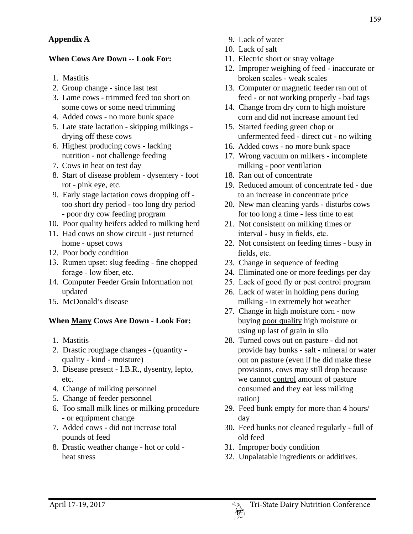# **Appendix A**

### **When Cows Are Down -- Look For:**

- 1. Mastitis
- 2. Group change since last test
- 3. Lame cows trimmed feed too short on some cows or some need trimming
- 4. Added cows no more bunk space
- 5. Late state lactation skipping milkings drying off these cows
- 6. Highest producing cows lacking nutrition - not challenge feeding
- 7. Cows in heat on test day
- 8. Start of disease problem dysentery foot rot - pink eye, etc.
- 9. Early stage lactation cows dropping off too short dry period - too long dry period - poor dry cow feeding program
- 10. Poor quality heifers added to milking herd
- 11. Had cows on show circuit just returned home - upset cows
- 12. Poor body condition
- 13. Rumen upset: slug feeding fine chopped forage - low fiber, etc.
- 14. Computer Feeder Grain Information not updated
- 15. McDonald's disease

# **When Many Cows Are Down - Look For:**

- 1. Mastitis
- 2. Drastic roughage changes (quantity quality - kind - moisture)
- 3. Disease present I.B.R., dysentry, lepto, etc.
- 4. Change of milking personnel
- 5. Change of feeder personnel
- 6. Too small milk lines or milking procedure - or equipment change
- 7. Added cows did not increase total pounds of feed
- 8. Drastic weather change hot or cold heat stress
- 9. Lack of water
- 10. Lack of salt
- 11. Electric short or stray voltage
- 12. Improper weighing of feed inaccurate or broken scales - weak scales
- 13. Computer or magnetic feeder ran out of feed - or not working properly - bad tags
- 14. Change from dry corn to high moisture corn and did not increase amount fed
- 15. Started feeding green chop or unfermented feed - direct cut - no wilting
- 16. Added cows no more bunk space
- 17. Wrong vacuum on milkers incomplete milking - poor ventilation
- 18. Ran out of concentrate
- 19. Reduced amount of concentrate fed due to an increase in concentrate price
- 20. New man cleaning yards disturbs cows for too long a time - less time to eat
- 21. Not consistent on milking times or interval - busy in fields, etc.
- 22. Not consistent on feeding times busy in fields, etc.
- 23. Change in sequence of feeding
- 24. Eliminated one or more feedings per day
- 25. Lack of good fly or pest control program
- 26. Lack of water in holding pens during milking - in extremely hot weather
- 27. Change in high moisture corn now buying poor quality high moisture or using up last of grain in silo
- 28. Turned cows out on pasture did not provide hay bunks - salt - mineral or water out on pasture (even if he did make these provisions, cows may still drop because we cannot control amount of pasture consumed and they eat less milking ration)
- 29. Feed bunk empty for more than 4 hours/ day
- 30. Feed bunks not cleaned regularly full of old feed
- 31. Improper body condition
- 32. Unpalatable ingredients or additives.